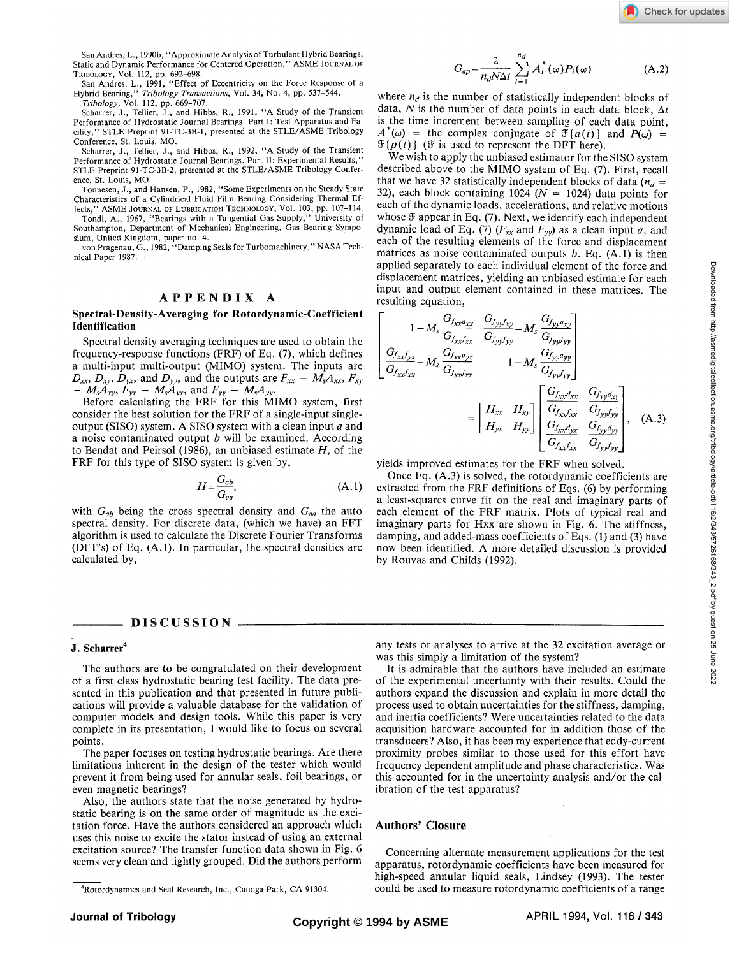San Andres, L., 1990b, "Approximate Analysis of Turbulent Hybrid Bearings, Static and Dynamic Performance for Centered Operation," ASME JOURNAL OF TRIBOLOGY, Vol. 112, pp. 692-698.

San Andres, L., 1991, "Effect of Eccentricity on the Force Response of a Hybrid Bearing," *Tribology Transactions,* Vol. 34, No. 4, pp. 537-544.

*Tribology,* Vol. 112, pp. 669-707. Scharrer, J., Tellier, J., and Hibbs, R., 1991, "A Study of the Transient Performance of Hydrostatic Journal Bearings. Part I: Test Apparatus and Facility," STLE Preprint 91-TC-3B-1, presented at the STLE/ASME Tribology Conference, St. Louis, MO.

Scharrer, J., Tellier, J., and Hibbs, R., 1992, "A Study of the Transient Performance of Hydrostatic Journal Bearings. Part II: Experimental Results," STLE Preprint 91-TC-3B-2, presented at the STLE/ASME Tribology Conference, St. Louis, MO.

Tonnesen, J., and Hansen, P., 1982, "Some Experiments on the Steady State Characteristics of a Cylindrical Fluid Film Bearing Considering Thermal Effects," ASME JOURNAL OF LUBRICATION TECHNOLOGY, Vol. 103, pp. 107-114.

Tondl, A., 1967, "Bearings with a Tangential Gas Supply," University of Southampton, Department of Mechanical Engineering, Gas Bearing Sympo-

sium, United Kingdom, paper no. 4. von Pragenau, G., 1982, "Damping Seals for Turbomachinery," NASA Technical Paper 1987.

# **APPENDI X** A

### **Spectral-Density-Averaging for Rotordynamic-Coefficient Identification**

Spectral density averaging techniques are used to obtain the frequency-response functions (FRF) of Eq. (7), which defines a multi-input multi-output (MIMO) system. The inputs are  $D_{xx}$ *,*  $D_{xy}$ *,*  $D_{yx}$ *, and*  $D_{yy}$ *, and the outputs are*  $F_{xx} - M_s A_{xx}$ *,*  $F_{xy}$  $- M_s A_{xy}$ ,  $F_{yx} - M_s A_{yx}$ , and  $F_{yy} - M_s A_{yy}$ .

Before calculating the FRF for this MIMO system, first consider the best solution for the FRF of a single-input singleoutput (SISO) system. A SISO system with a clean input *a* and a noise contaminated output *b* will be examined. According to Bendat and Peirsol (1986), an unbiased estimate *H,* of the FRF for this type of SISO system is given by,

$$
H = \frac{G_{ab}}{G_{aa}},\tag{A.1}
$$

with  $G_{ab}$  being the cross spectral density and  $G_{aa}$  the auto spectral density. For discrete data, (which we have) an FFT algorithm is used to calculate the Discrete Fourier Transforms (DFT's) of Eq. (A.l). In particular, the spectral densities are calculated by,

### - DISCUSSION **-**

#### **J. Scharrer<sup>4</sup>**

The authors are to be congratulated on their development of a first class hydrostatic bearing test facility. The data presented in this publication and that presented in future publications will provide a valuable database for the validation of computer models and design tools. While this paper is very complete in its presentation, I would like to focus on several points.

The paper focuses on testing hydrostatic bearings. Are there limitations inherent in the design of the tester which would prevent it from being used for annular seals, foil bearings, or even magnetic bearings?

Also, the authors state that the noise generated by hydrostatic bearing is on the same order of magnitude as the excitation force. Have the authors considered an approach which uses this noise to excite the stator instead of using an external excitation source? The transfer function data shown in Fig. 6 seems very clean and tightly grouped. Did the authors perform

$$
G_{ap} = \frac{2}{n_d N \Delta t} \sum_{i=1}^{n_d} A_i^*(\omega) P_i(\omega)
$$
 (A.2)

where  $n_d$  is the number of statistically independent blocks of data, N is the number of data points in each data block,  $\Delta t$ is the time increment between sampling of each data point,  $A^*(\omega)$  = the complex conjugate of  $\mathfrak{F}{a(t)}$  and  $P(\omega)$  =  $\mathfrak{F}\lbrace p(t)\rbrace$  (*F* is used to represent the DFT here).

We wish to apply the unbiased estimator for the SISO system described above to the MIMO system of Eq. (7). First, recall that we have 32 statistically independent blocks of data  $(n_d =$ 32), each block containing 1024 ( $N = 1024$ ) data points for each of the dynamic loads, accelerations, and relative motions whose  $\mathfrak F$  appear in Eq. (7). Next, we identify each independent dynamic load of Eq. (7) *(Fxx* and *Fyy)* as a clean input *a,* and each of the resulting elements of the force and displacement matrices as noise contaminated outputs *b.* Eq. (A.l) is then applied separately to each individual element of the force and displacement matrices, yielding an unbiased estimate for each input and output element contained in these matrices. The resulting equation,

$$
\begin{bmatrix}\n1 - M_s \frac{G_{f_{XX}d_{XX}}}{G_{f_{XX}f_{XX}}} & \frac{G_{f_{yy}f_{xy}}}{G_{f_{yy}f_{yy}}} - M_s \frac{G_{f_{yy}d_{xy}}}{G_{f_{yy}f_{yy}}}\n\end{bmatrix}\n\begin{bmatrix}\n1 - M_s \frac{G_{f_{XX}f_{XX}}}{G_{f_{XX}f_{XX}}} & \frac{G_{f_{yy}f_{yy}}}{G_{f_{yy}f_{yy}}} \\
\frac{G_{f_{XX}f_{XX}}}{G_{f_{XX}f_{XX}}} & 1 - M_s \frac{G_{f_{yy}f_{yy}}}{G_{f_{yy}f_{yy}}}\n\end{bmatrix}\n=\n\begin{bmatrix}\nH_{XX} & H_{xy} \\
H_{yx} & H_{yy}\n\end{bmatrix}\n\begin{bmatrix}\n\frac{G_{f_{XX}d_{XX}}}{G_{f_{XX}f_{XX}}} & \frac{G_{f_{yy}d_{xy}}}{G_{f_{yy}f_{yy}}} \\
\frac{G_{f_{XX}d_{yx}}}{G_{f_{xy}f_{XX}}} & \frac{G_{f_{yy}f_{yy}}}{G_{f_{yy}f_{yy}}}\n\end{bmatrix}, (A.3)
$$

yields improved estimates for the FRF when solved.

Once Eq. (A.3) is solved, the rotordynamic coefficients are extracted from the FRF definitions of Eqs. (6) by performing a least-squares curve fit on the real and imaginary parts of each element of the FRF matrix. Plots of typical real and imaginary parts for Hxx are shown in Fig. 6. The stiffness, damping, and added-mass coefficients of Eqs. (1) and (3) have now been identified. A more detailed discussion is provided by Rouvas and Childs (1992).

any tests or analyses to arrive at the 32 excitation average or was this simply a limitation of the system?

It is admirable that the authors have included an estimate of the experimental uncertainty with their results. Could the authors expand the discussion and explain in more detail the process used to obtain uncertainties for the stiffness, damping, and inertia coefficients? Were uncertainties related to the data acquisition hardware accounted for in addition those of the transducers? Also, it has been my experience that eddy-current proximity probes similar to those used for this effort have frequency dependent amplitude and phase characteristics. Was .this accounted for in the uncertainty analysis and/or the calibration of the test apparatus?

## **Authors' Closure**

Concerning alternate measurement applications for the test apparatus, rotordynamic coefficients have been measured for high-speed annular liquid seals, Lindsey (1993). The tester could be used to measure rotordynamic coefficients of a range

<sup>4</sup>Rotordynamics and Seal Research, Inc., Canoga Park, CA 91304.